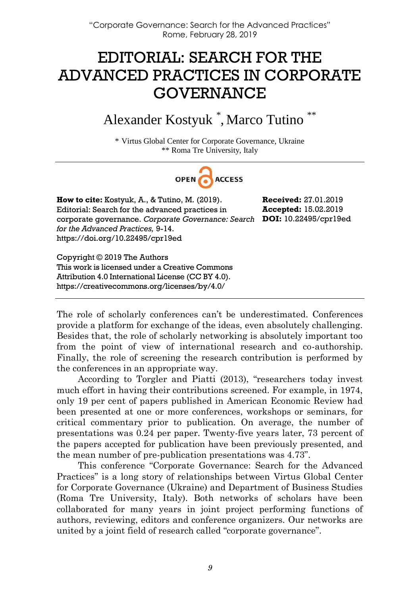## EDITORIAL: SEARCH FOR THE ADVANCED PRACTICES IN CORPORATE GOVERNANCE

Alexander Kostyuk \* , Marco Tutino \*\*

\* Virtus Global Center for Corporate Governance, Ukraine \*\* Roma Tre University, Italy



**How to cite:** Kostyuk, A., & Tutino, M. (2019). Editorial: Search for the advanced practices in corporate governance. *Corporate Governance: Search*  **DOI:** 10.22495/cpr19ed *for the Advanced Practices,* 9-14. https://doi.org/10.22495/cpr19ed

**Received:** 27.01.2019 **Accepted:** 15.02.2019

Copyright © 2019 The Authors This work is licensed under a Creative Commons Attribution 4.0 International License (CC BY 4.0). https://creativecommons.org/licenses/by/4.0/

The role of scholarly conferences can't be underestimated. Conferences provide a platform for exchange of the ideas, even absolutely challenging. Besides that, the role of scholarly networking is absolutely important too from the point of view of international research and co-authorship. Finally, the role of screening the research contribution is performed by the conferences in an appropriate way.

According to Torgler and Piatti (2013), "researchers today invest much effort in having their contributions screened. For example, in 1974, only 19 per cent of papers published in American Economic Review had been presented at one or more conferences, workshops or seminars, for critical commentary prior to publication. On average, the number of presentations was 0.24 per paper. Twenty-five years later, 73 percent of the papers accepted for publication have been previously presented, and the mean number of pre-publication presentations was 4.73".

This conference "Corporate Governance: Search for the Advanced Practices" is a long story of relationships between Virtus Global Center for Corporate Governance (Ukraine) and Department of Business Studies (Roma Tre University, Italy). Both networks of scholars have been collaborated for many years in joint project performing functions of authors, reviewing, editors and conference organizers. Our networks are united by a joint field of research called "corporate governance".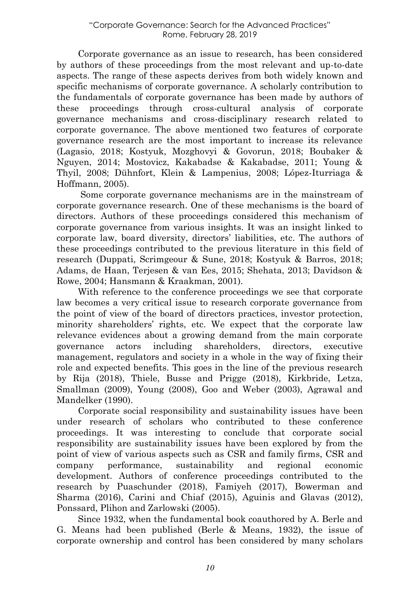Corporate governance as an issue to research, has been considered by authors of these proceedings from the most relevant and up-to-date aspects. The range of these aspects derives from both widely known and specific mechanisms of corporate governance. A scholarly contribution to the fundamentals of corporate governance has been made by authors of these proceedings through cross-cultural analysis of corporate governance mechanisms and cross-disciplinary research related to corporate governance. The above mentioned two features of corporate governance research are the most important to increase its relevance (Lagasio, 2018; Kostyuk, Mozghovyi & Govorun, 2018; Boubaker & Nguyen, 2014; Mostovicz, Kakabadse & Kakabadse, 2011; Young & Thyil, 2008; Dühnfort, Klein & Lampenius, 2008; López-Iturriaga & Hoffmann, 2005).

Some corporate governance mechanisms are in the mainstream of corporate governance research. One of these mechanisms is the board of directors. Authors of these proceedings considered this mechanism of corporate governance from various insights. It was an insight linked to corporate law, board diversity, directors' liabilities, etc. The authors of these proceedings contributed to the previous literature in this field of research (Duppati, Scrimgeour & Sune, 2018; Kostyuk & Barros, 2018; Adams, de Haan, Terjesen & van Ees, 2015; Shehata, 2013; Davidson & Rowe, 2004; Hansmann & Kraakman, 2001).

With reference to the conference proceedings we see that corporate law becomes a very critical issue to research corporate governance from the point of view of the board of directors practices, investor protection, minority shareholders' rights, etc. We expect that the corporate law relevance evidences about a growing demand from the main corporate governance actors including shareholders, directors, executive management, regulators and society in a whole in the way of fixing their role and expected benefits. This goes in the line of the previous research by Rija (2018), Thiele, Busse and Prigge (2018), Kirkbride, Letza, Smallman (2009), Young (2008), Goo and Weber (2003), Agrawal and Mandelker (1990).

Corporate social responsibility and sustainability issues have been under research of scholars who contributed to these conference proceedings. It was interesting to conclude that corporate social responsibility are sustainability issues have been explored by from the point of view of various aspects such as CSR and family firms, CSR and company performance, sustainability and regional economic development. Authors of conference proceedings contributed to the research by Puaschunder (2018), Famiyeh (2017), Bowerman and Sharma (2016), Carini and Chiaf (2015), Aguinis and Glavas (2012), Ponssard, Plihon and Zarlowski (2005).

Since 1932, when the fundamental book coauthored by A. Berle and G. Means had been published (Berle & Means, 1932), the issue of corporate ownership and control has been considered by many scholars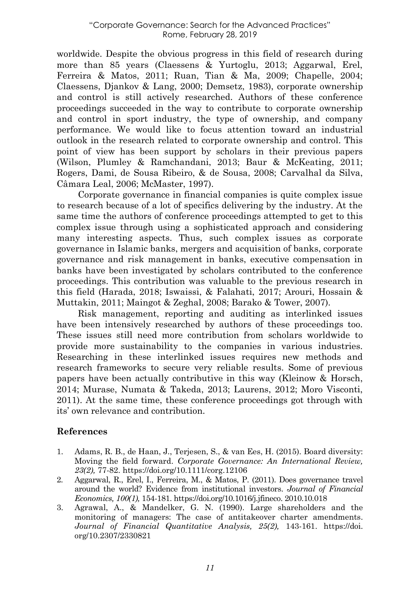worldwide. Despite the obvious progress in this field of research during more than 85 years (Claessens & Yurtoglu, 2013; Aggarwal, Erel, Ferreira & Matos, 2011; Ruan, Tian & Ma, 2009; Chapelle, 2004; Claessens, Djankov & Lang, 2000; Demsetz, 1983), corporate ownership and control is still actively researched. Authors of these conference proceedings succeeded in the way to contribute to corporate ownership and control in sport industry, the type of ownership, and company performance. We would like to focus attention toward an industrial outlook in the research related to corporate ownership and control. This point of view has been support by scholars in their previous papers (Wilson, Plumley & Ramchandani, 2013; Baur & McKeating, 2011; Rogers, Dami, de Sousa Ribeiro, & de Sousa, 2008; Carvalhal da Silva, Câmara Leal, 2006; McMaster, 1997).

Corporate governance in financial companies is quite complex issue to research because of a lot of specifics delivering by the industry. At the same time the authors of conference proceedings attempted to get to this complex issue through using a sophisticated approach and considering many interesting aspects. Thus, such complex issues as corporate governance in Islamic banks, mergers and acquisition of banks, corporate governance and risk management in banks, executive compensation in banks have been investigated by scholars contributed to the conference proceedings. This contribution was valuable to the previous research in this field (Harada, 2018; Iswaissi, & Falahati, 2017; Arouri, Hossain & Muttakin, 2011; Maingot & Zeghal, 2008; Barako & Tower, 2007).

Risk management, reporting and auditing as interlinked issues have been intensively researched by authors of these proceedings too. These issues still need more contribution from scholars worldwide to provide more sustainability to the companies in various industries. Researching in these interlinked issues requires new methods and research frameworks to secure very reliable results. Some of previous papers have been actually contributive in this way (Kleinow & Horsch, 2014; Murase, Numata & Takeda, 2013; Laurens, 2012; Moro Visconti, 2011). At the same time, these conference proceedings got through with its' own relevance and contribution.

## **References**

- 1. Adams, R. B., de Haan, J., Terjesen, S., & van Ees, H. (2015). Board diversity: Moving the field forward. *Corporate Governance: An International Review, 23(2),* 77-82. https://doi.org/10.1111/corg.12106
- 2. Aggarwal, R., Erel, I., Ferreira, M., & Matos, P. (2011). Does governance travel around the world? Evidence from institutional investors. *Journal of Financial Economics, 100(1),* 154-181. https://doi.org/10.1016/j.jfineco. 2010.10.018
- 3. Agrawal, A., & Mandelker, G. N. (1990). Large shareholders and the monitoring of managers: The case of antitakeover charter amendments. *Journal of Financial Quantitative Analysis, 25(2),* 143-161. https://doi. org/10.2307/2330821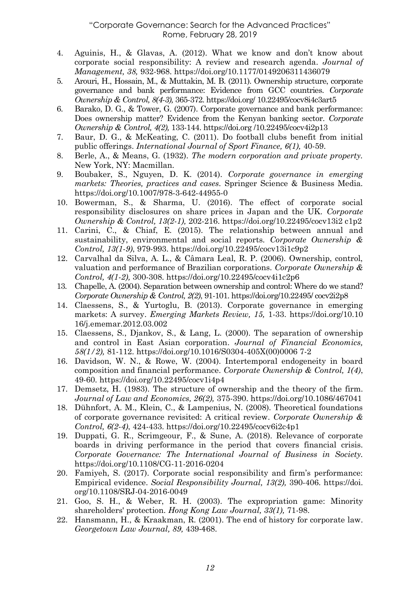## "Corporate Governance: Search for the Advanced Practices" Rome, February 28, 2019

- 4. Aguinis, H., & Glavas, A. (2012). What we know and don't know about corporate social responsibility: A review and research agenda. *Journal of Management, 38,* 932-968. https://doi.org/10.1177/0149206311436079
- 5. Arouri, H., Hossain, M., & Muttakin, M. B. (2011). Ownership structure, corporate governance and bank performance: Evidence from GCC countries. *Corporate Ownership & Control, 8(4-3),* 365-372. https://doi.org/ 10.22495/cocv8i4c3art5
- 6. Barako, D. G., & Tower, G. (2007). Corporate governance and bank performance: Does ownership matter? Evidence from the Kenyan banking sector. *Corporate Ownership & Control, 4(2),* 133-144. https://doi.org /10.22495/cocv4i2p13
- 7. Baur, D. G., & McKeating, C. (2011). Do football clubs benefit from initial public offerings. *International Journal of Sport Finance, 6(1),* 40-59.
- 8. Berle, A., & Means, G. (1932). *The modern corporation and private property.* New York, NY: Macmillan.
- 9. Boubaker, S., Nguyen, D. K. (2014). *Corporate governance in emerging markets: Theories, practices and cases.* Springer Science & Business Media. https://doi.org/10.1007/978-3-642-44955-0
- 10. Bowerman, S., & Sharma, U. (2016). The effect of corporate social responsibility disclosures on share prices in Japan and the UK. *Corporate Ownership & Control, 13(2-1),* 202-216. https://doi.org/10.22495/cocv13i2 c1p2
- 11. Carini, C., & Chiaf, E. (2015). The relationship between annual and sustainability, environmental and social reports. *Corporate Ownership & Control, 13(1-9)*, 979-993. https://doi.org/10.22495/cocv13i1c9p2
- 12. Carvalhal da Silva, A. L., & Câmara Leal, R. P. (2006). Ownership, control, valuation and performance of Brazilian corporations. *Corporate Ownership & Control, 4(1-2),* 300-308[. https://doi.org/10.22495/cocv4i1c2p6](http://dx.doi.org/10.22495/cocv4i1c2p6)
- 13. Chapelle, A. (2004). Separation between ownership and control: Where do we stand? *Corporate Ownership & Control, 2(2), 91-101.* https://doi.org/10.22495/ cocv2i2p8
- 14. Claessens, S., & Yurtoglu, B. (2013). Corporate governance in emerging markets: A survey. *Emerging Markets Review, 15,* 1-33. https://doi.org/10.10 16/j.ememar.2012.03.002
- 15. Claessens, S., Djankov, S., & Lang, L. (2000). The separation of ownership and control in East Asian corporation. *Journal of Financial Economics, 58(1/2),* 81-112. https://doi.org/10.1016/S0304-405X(00)0006 7-2
- 16. Davidson, W. N., & Rowe, W. (2004). Intertemporal endogeneity in board composition and financial performance. *Corporate Ownership & Control, 1(4)*, 49-60. https://doi.org/10.22495/cocv1i4p4
- 17. Demsetz, H. (1983). The structure of ownership and the theory of the firm. *Journal of Law and Economics, 26(2),* 375-390. https://doi.org/10.1086/467041
- 18. Dühnfort, A. M., Klein, C., & Lampenius, N. (2008). Theoretical foundations of corporate governance revisited: A critical review. *Corporate Ownership & Control, 6(2-4)*, 424-433. https://doi.org/10.22495/cocv6i2c4p1
- 19. Duppati, G. R., Scrimgeour, F., & Sune, A. (2018). Relevance of corporate boards in driving performance in the period that covers financial crisis. *Corporate Governance: The International Journal of Business in Society.* https://doi.org/10.1108/CG-11-2016-0204
- 20. Famiyeh, S. (2017). Corporate social responsibility and firm's performance: Empirical evidence. *Social Responsibility Journal, 13(2),* 390-406. https://doi. org/10.1108/SRJ-04-2016-0049
- 21. Goo, S. H., & Weber, R. H. (2003). The expropriation game: Minority shareholders' protection. *Hong Kong Law Journal, 33(1),* 71-98.
- 22. Hansmann, H., & Kraakman, R. (2001). The end of history for corporate law. *Georgetown Law Journal, 89,* 439‐468.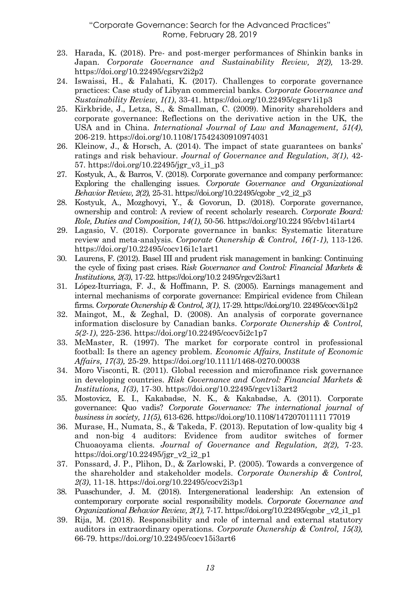- 23. Harada, K. (2018). Pre- and post-merger performances of Shinkin banks in Japan. *Corporate Governance and Sustainability Review, 2(2),* 13-29. https://doi.org/10.22495/cgsrv2i2p2
- 24. Iswaissi, H., & Falahati, K. (2017). Challenges to corporate governance practices: Case study of Libyan commercial banks. *Corporate Governance and Sustainability Review, 1(1)*, 33-41. https://doi.org/10.22495/cgsrv1i1p3
- 25. Kirkbride, J., Letza, S., & Smallman, C. (2009). Minority shareholders and corporate governance: Reflections on the derivative action in the UK, the USA and in China. *International Journal of Law and Management, 51(4),* 206-219. https://doi.org/10.1108/17542430910974031
- 26. Kleinow, J., & Horsch, A. (2014). The impact of state guarantees on banks' ratings and risk behaviour. *Journal of Governance and Regulation, 3(1)*, 42- 57. https://doi.org/10.22495/jgr\_v3\_i1\_p3
- 27. Kostyuk, A., & Barros, V. (2018). Corporate governance and company performance: Exploring the challenging issues. *Corporate Governance and Organizational Behavior Review, 2(2),* 25-31. https://doi.org/10.22495/cgobr \_v2\_i2\_p3
- 28. Kostyuk, A., Mozghovyi, Y., & Govorun, D. (2018). Corporate governance, ownership and control: A review of recent scholarly research. *Corporate Board: Role, Duties and Composition, 14(1),* 50-56. https://doi.org/10.224 95/cbv14i1art4
- 29. Lagasio, V. (2018). Corporate governance in banks: Systematic literature review and meta-analysis. *Corporate Ownership & Control, 16(1-1)*, 113-126. https://doi.org/10.22495/cocv16i1c1art1
- 30. Laurens, F. (2012). Basel III and prudent risk management in banking: Continuing the cycle of fixing past crises. R*isk Governance and Control: Financial Markets & Institutions, 2(3)*, 17-22. https://doi.org/10.2 2495/rgcv2i3art1
- 31. López-Iturriaga, F. J., & Hoffmann, P. S. (2005). Earnings management and internal mechanisms of corporate governance: Empirical evidence from Chilean firms. *Corporate Ownership & Control, 3(1)*, 17-29. https://doi.org/10. 22495/cocv3i1p2
- 32. Maingot, M., & Zeghal, D. (2008). An analysis of corporate governance information disclosure by Canadian banks. *Corporate Ownership & Control, 5(2-1)*, 225-236. https://doi.org/10.22495/cocv5i2c1p7
- 33. McMaster, R. (1997). The market for corporate control in professional football: Is there an agency problem. *Economic Affairs, Institute of Economic Affairs, 17(3),* 25-29. https://doi.org/10.1111/1468-0270.00038
- 34. Moro Visconti, R. (2011). Global recession and microfinance risk governance in developing countries. *Risk Governance and Control: Financial Markets & Institutions, 1(3)*, 17-30. https://doi.org/10.22495/rgcv1i3art2
- 35. Mostovicz, E. I., Kakabadse, N. K., & Kakabadse, A. (2011). Corporate governance: Quo vadis? *Corporate Governance: The international journal of business in society, 11(5),* 613-626. https://doi.org/10.1108/147207011111 77019
- 36. Murase, H., Numata, S., & Takeda, F. (2013). Reputation of low-quality big 4 and non-big 4 auditors: Evidence from auditor switches of former Chuoaoyama clients. *Journal of Governance and Regulation, 2(2),* 7-23. https://doi.org/10.22495/jgr\_v2\_i2\_p1
- 37. Ponssard, J. P., Plihon, D., & Zarlowski, P. (2005). Towards a convergence of the shareholder and stakeholder models. *Corporate Ownership & Control, 2(3)*, 11-18. https://doi.org/10.22495/cocv2i3p1
- 38. Puaschunder, J. M. (2018). Intergenerational leadership: An extension of contemporary corporate social responsibility models. *Corporate Governance and Organizational Behavior Review, 2(1),* 7-17. https://doi.org/10.22495/cgobr \_v2\_i1\_p1
- 39. Rija, M. (2018). Responsibility and role of internal and external statutory auditors in extraordinary operations. *Corporate Ownership & Control, 15(3),* 66-79. https://doi.org/10.22495/cocv15i3art6